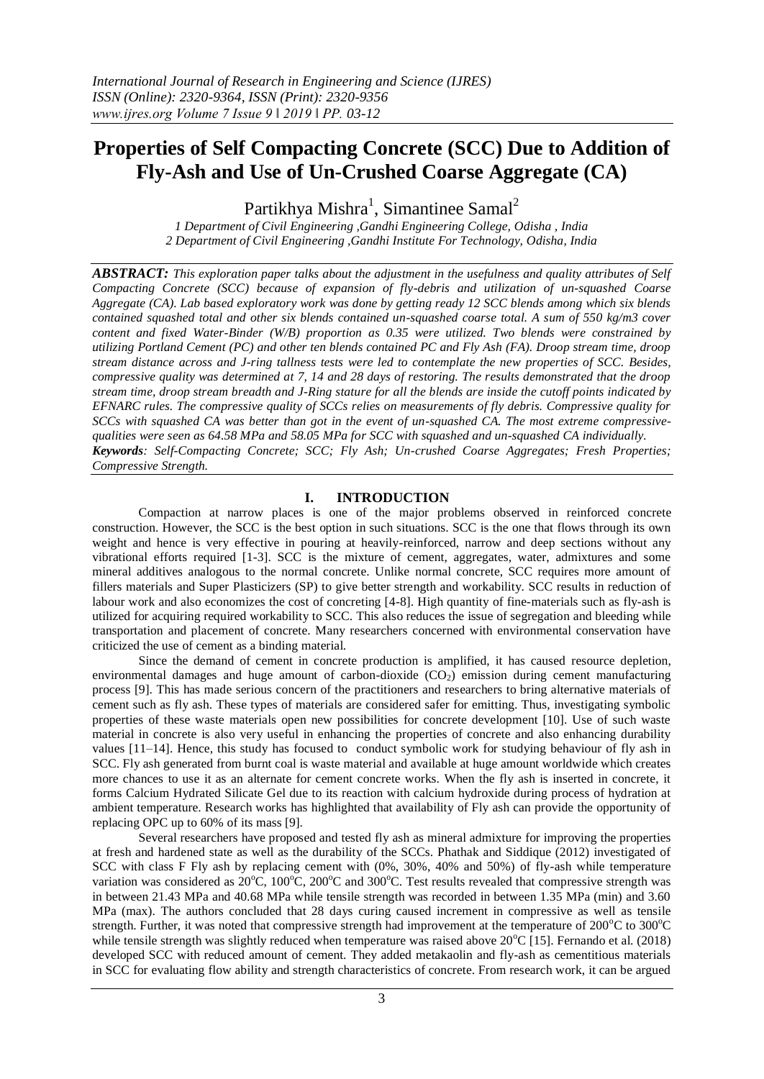# **Properties of Self Compacting Concrete (SCC) Due to Addition of Fly-Ash and Use of Un-Crushed Coarse Aggregate (CA)**

Partikhya Mishra<sup>1</sup>, Simantinee Samal<sup>2</sup>

*1 Department of Civil Engineering ,Gandhi Engineering College, Odisha , India 2 Department of Civil Engineering ,Gandhi Institute For Technology, Odisha, India*

*ABSTRACT: This exploration paper talks about the adjustment in the usefulness and quality attributes of Self Compacting Concrete (SCC) because of expansion of fly-debris and utilization of un-squashed Coarse Aggregate (CA). Lab based exploratory work was done by getting ready 12 SCC blends among which six blends contained squashed total and other six blends contained un-squashed coarse total. A sum of 550 kg/m3 cover content and fixed Water-Binder (W/B) proportion as 0.35 were utilized. Two blends were constrained by utilizing Portland Cement (PC) and other ten blends contained PC and Fly Ash (FA). Droop stream time, droop stream distance across and J-ring tallness tests were led to contemplate the new properties of SCC. Besides, compressive quality was determined at 7, 14 and 28 days of restoring. The results demonstrated that the droop stream time, droop stream breadth and J-Ring stature for all the blends are inside the cutoff points indicated by EFNARC rules. The compressive quality of SCCs relies on measurements of fly debris. Compressive quality for SCCs with squashed CA was better than got in the event of un-squashed CA. The most extreme compressivequalities were seen as 64.58 MPa and 58.05 MPa for SCC with squashed and un-squashed CA individually. Keywords: Self-Compacting Concrete; SCC; Fly Ash; Un-crushed Coarse Aggregates; Fresh Properties; Compressive Strength.*

#### **I. INTRODUCTION**

Compaction at narrow places is one of the major problems observed in reinforced concrete construction. However, the SCC is the best option in such situations. SCC is the one that flows through its own weight and hence is very effective in pouring at heavily-reinforced, narrow and deep sections without any vibrational efforts required [1-3]. SCC is the mixture of cement, aggregates, water, admixtures and some mineral additives analogous to the normal concrete. Unlike normal concrete, SCC requires more amount of fillers materials and Super Plasticizers (SP) to give better strength and workability. SCC results in reduction of labour work and also economizes the cost of concreting [4-8]. High quantity of fine-materials such as fly-ash is utilized for acquiring required workability to SCC. This also reduces the issue of segregation and bleeding while transportation and placement of concrete. Many researchers concerned with environmental conservation have criticized the use of cement as a binding material.

Since the demand of cement in concrete production is amplified, it has caused resource depletion, environmental damages and huge amount of carbon-dioxide  $(CO<sub>2</sub>)$  emission during cement manufacturing process [9]. This has made serious concern of the practitioners and researchers to bring alternative materials of cement such as fly ash. These types of materials are considered safer for emitting. Thus, investigating symbolic properties of these waste materials open new possibilities for concrete development [10]. Use of such waste material in concrete is also very useful in enhancing the properties of concrete and also enhancing durability values [11–14]. Hence, this study has focused to conduct symbolic work for studying behaviour of fly ash in SCC. Fly ash generated from burnt coal is waste material and available at huge amount worldwide which creates more chances to use it as an alternate for cement concrete works. When the fly ash is inserted in concrete, it forms Calcium Hydrated Silicate Gel due to its reaction with calcium hydroxide during process of hydration at ambient temperature. Research works has highlighted that availability of Fly ash can provide the opportunity of replacing OPC up to 60% of its mass [9].

Several researchers have proposed and tested fly ash as mineral admixture for improving the properties at fresh and hardened state as well as the durability of the SCCs. Phathak and Siddique (2012) investigated of SCC with class F Fly ash by replacing cement with (0%, 30%, 40% and 50%) of fly-ash while temperature variation was considered as  $20^{\circ}$ C,  $100^{\circ}$ C,  $200^{\circ}$ C and  $300^{\circ}$ C. Test results revealed that compressive strength was in between 21.43 MPa and 40.68 MPa while tensile strength was recorded in between 1.35 MPa (min) and 3.60 MPa (max). The authors concluded that 28 days curing caused increment in compressive as well as tensile strength. Further, it was noted that compressive strength had improvement at the temperature of  $200^{\circ}$ C to  $300^{\circ}$ C while tensile strength was slightly reduced when temperature was raised above  $20^{\circ}C$  [15]. Fernando et al. (2018) developed SCC with reduced amount of cement. They added metakaolin and fly-ash as cementitious materials in SCC for evaluating flow ability and strength characteristics of concrete. From research work, it can be argued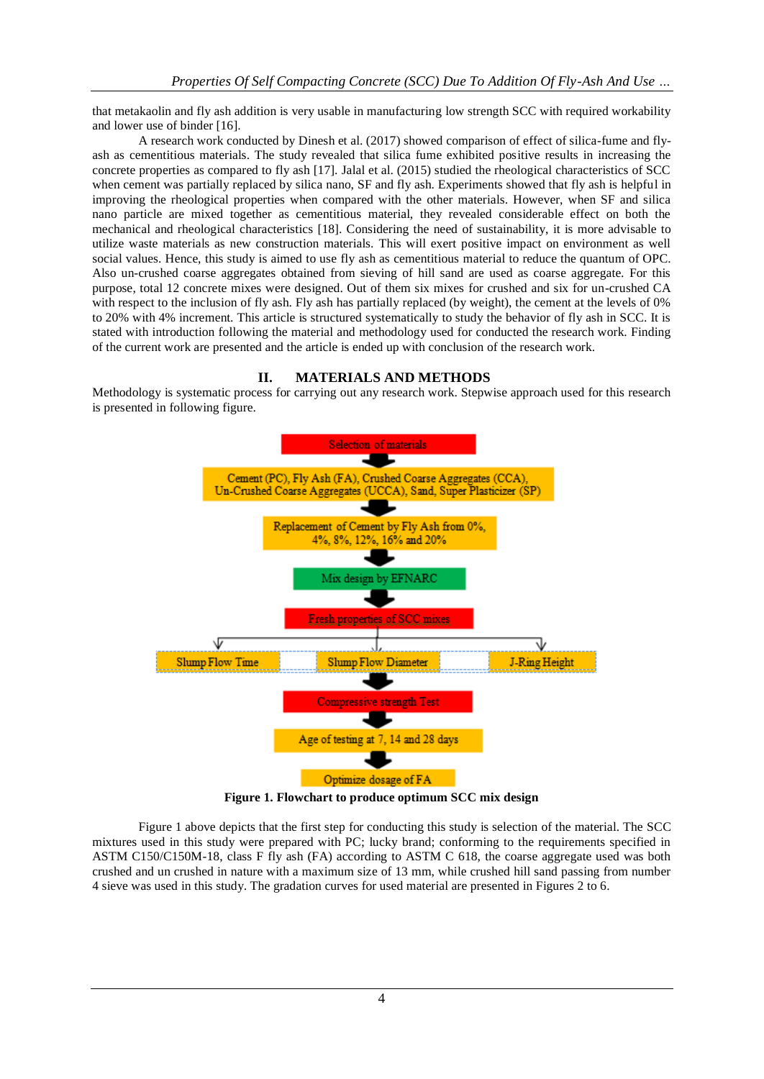that metakaolin and fly ash addition is very usable in manufacturing low strength SCC with required workability and lower use of binder [16].

A research work conducted by Dinesh et al. (2017) showed comparison of effect of silica-fume and flyash as cementitious materials. The study revealed that silica fume exhibited positive results in increasing the concrete properties as compared to fly ash [17]. Jalal et al. (2015) studied the rheological characteristics of SCC when cement was partially replaced by silica nano, SF and fly ash. Experiments showed that fly ash is helpful in improving the rheological properties when compared with the other materials. However, when SF and silica nano particle are mixed together as cementitious material, they revealed considerable effect on both the mechanical and rheological characteristics [18]. Considering the need of sustainability, it is more advisable to utilize waste materials as new construction materials. This will exert positive impact on environment as well social values. Hence, this study is aimed to use fly ash as cementitious material to reduce the quantum of OPC. Also un-crushed coarse aggregates obtained from sieving of hill sand are used as coarse aggregate. For this purpose, total 12 concrete mixes were designed. Out of them six mixes for crushed and six for un-crushed CA with respect to the inclusion of fly ash. Fly ash has partially replaced (by weight), the cement at the levels of 0% to 20% with 4% increment. This article is structured systematically to study the behavior of fly ash in SCC. It is stated with introduction following the material and methodology used for conducted the research work. Finding of the current work are presented and the article is ended up with conclusion of the research work.

#### **II. MATERIALS AND METHODS**

Methodology is systematic process for carrying out any research work. Stepwise approach used for this research is presented in following figure.



**Figure 1. Flowchart to produce optimum SCC mix design**

Figure 1 above depicts that the first step for conducting this study is selection of the material. The SCC mixtures used in this study were prepared with PC; lucky brand; conforming to the requirements specified in ASTM C150/C150M-18, class F fly ash (FA) according to ASTM C 618, the coarse aggregate used was both crushed and un crushed in nature with a maximum size of 13 mm, while crushed hill sand passing from number 4 sieve was used in this study. The gradation curves for used material are presented in Figures 2 to 6.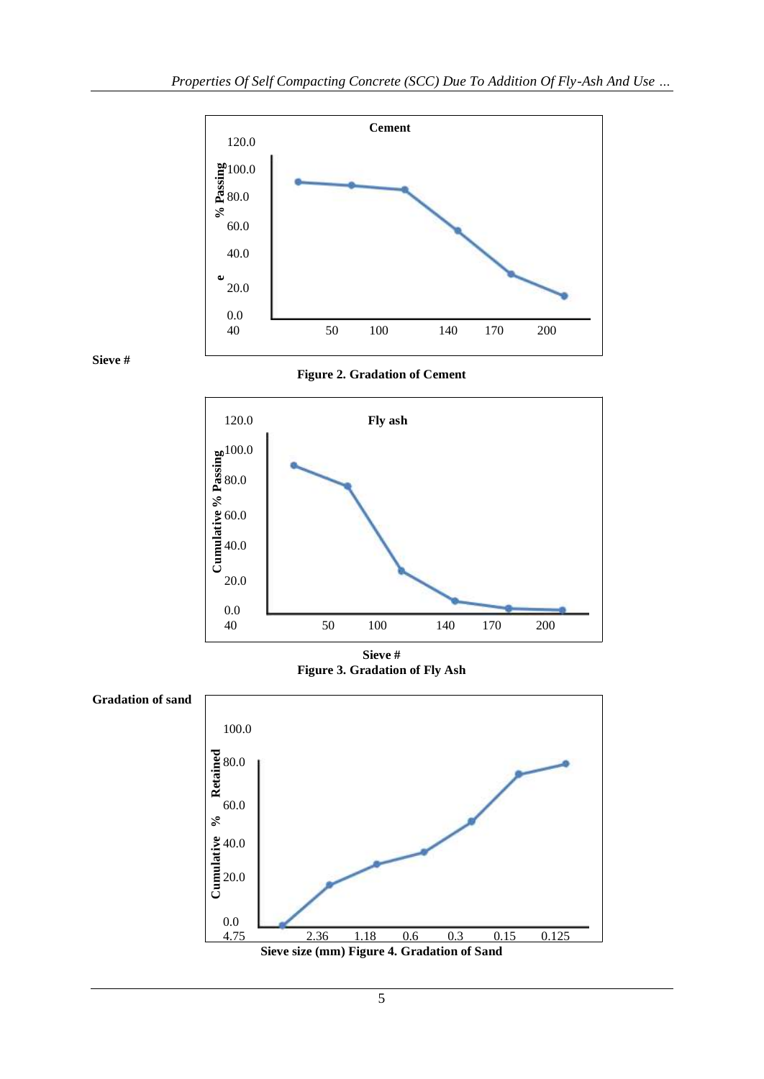



**Figure 2. Gradation of Cement**



**Sieve # Figure 3. Gradation of Fly Ash**



5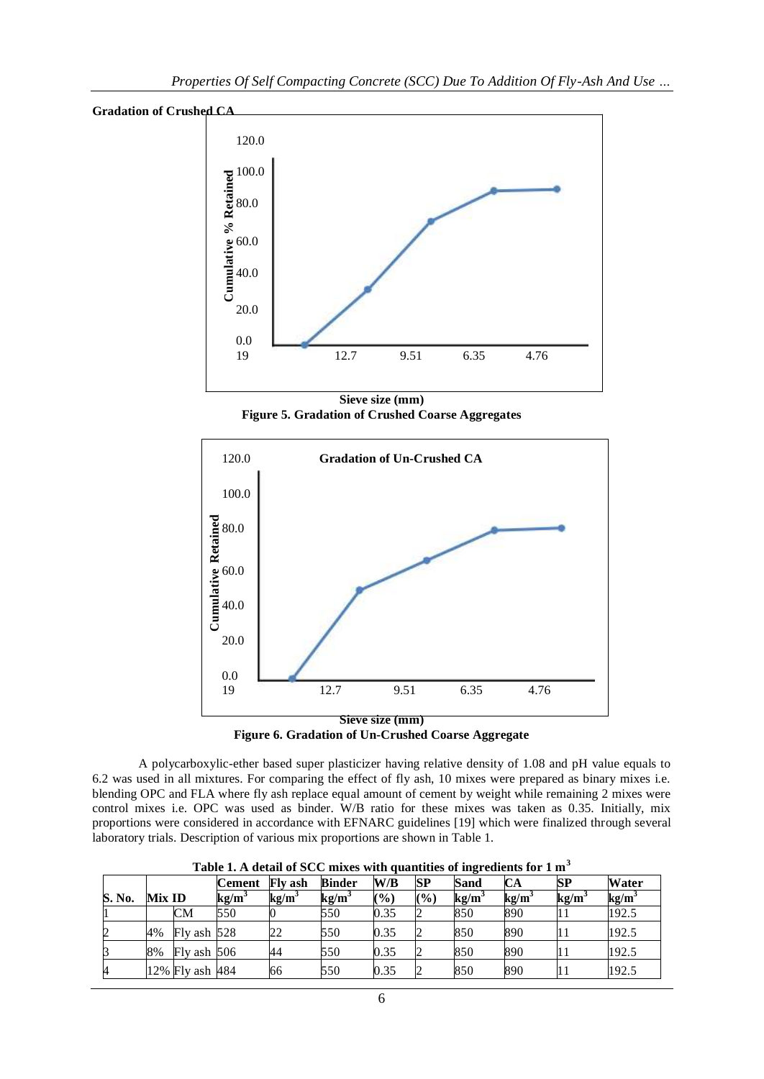



**Sieve size (mm) Figure 5. Gradation of Crushed Coarse Aggregates**



**Figure 6. Gradation of Un-Crushed Coarse Aggregate**

A polycarboxylic-ether based super plasticizer having relative density of 1.08 and pH value equals to 6.2 was used in all mixtures. For comparing the effect of fly ash, 10 mixes were prepared as binary mixes i.e. blending OPC and FLA where fly ash replace equal amount of cement by weight while remaining 2 mixes were control mixes i.e. OPC was used as binder. W/B ratio for these mixes was taken as 0.35. Initially, mix proportions were considered in accordance with EFNARC guidelines [19] which were finalized through several laboratory trials. Description of various mix proportions are shown in Table 1.

|        |               |                 | <b>Cement</b>     | <b>Fly ash</b> | <b>Binder</b>     | W/B  | <b>SP</b> | Sand | CА   | SP   | <b>Water</b>             |
|--------|---------------|-----------------|-------------------|----------------|-------------------|------|-----------|------|------|------|--------------------------|
| S. No. | <b>Mix ID</b> |                 | kg/m <sup>3</sup> | $kg/m^2$       | kg/m <sup>3</sup> | (%)  | (%)       | kg/m | kg/m | kg/m | $\mathbf{kg}/\mathbf{m}$ |
|        |               | <b>CM</b>       | 550               |                | 550               | 0.35 |           | 850  | 890  |      | 192.5                    |
|        | 4%            | Fly ash 528     |                   | 22             | 550               | 0.35 |           | 850  | 890  |      | 192.5                    |
|        | 8%            | $Fly$ ash $506$ |                   | 44             | 550               | 0.35 |           | 850  | 890  |      | 192.5                    |
|        |               | 12% Fly ash 484 |                   | 66             | 550               | 0.35 |           | 850  | 890  |      | 192.5                    |

**Table 1. A detail of SCC mixes with quantities of ingredients for 1 m<sup>3</sup>**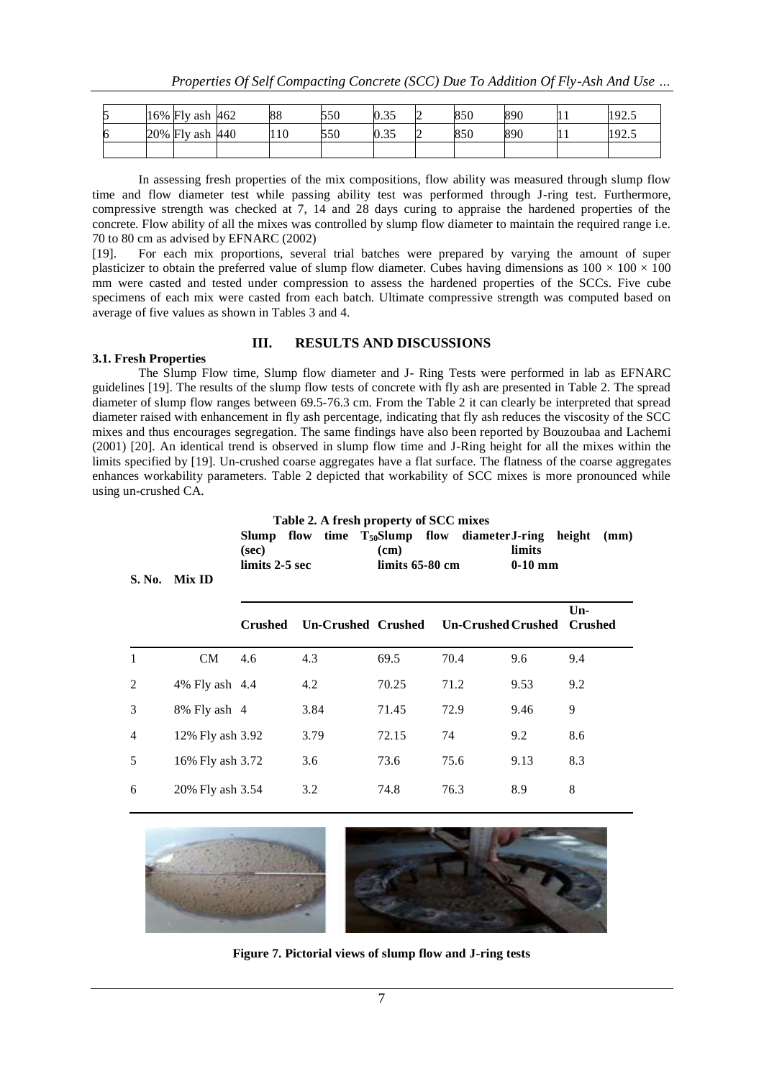| ς<br>IJ | 16% Fly ash 462 | 88  | 550 | 0.35 | ∠ | 850 | 890 |     | 102<br>ن د سه |
|---------|-----------------|-----|-----|------|---|-----|-----|-----|---------------|
| 6       | 20% Fly ash 440 | 110 | 550 | 0.35 | ∽ | 850 | 890 | . . | 102<br>ن ک    |
|         |                 |     |     |      |   |     |     |     |               |

In assessing fresh properties of the mix compositions, flow ability was measured through slump flow time and flow diameter test while passing ability test was performed through J-ring test. Furthermore, compressive strength was checked at 7, 14 and 28 days curing to appraise the hardened properties of the concrete. Flow ability of all the mixes was controlled by slump flow diameter to maintain the required range i.e. 70 to 80 cm as advised by EFNARC (2002)

[19]. For each mix proportions, several trial batches were prepared by varying the amount of super plasticizer to obtain the preferred value of slump flow diameter. Cubes having dimensions as  $100 \times 100 \times 100$ mm were casted and tested under compression to assess the hardened properties of the SCCs. Five cube specimens of each mix were casted from each batch. Ultimate compressive strength was computed based on average of five values as shown in Tables 3 and 4.

#### **III. RESULTS AND DISCUSSIONS 3.1. Fresh Properties**

The Slump Flow time, Slump flow diameter and J- Ring Tests were performed in lab as EFNARC guidelines [19]. The results of the slump flow tests of concrete with fly ash are presented in Table 2. The spread diameter of slump flow ranges between 69.5-76.3 cm. From the Table 2 it can clearly be interpreted that spread diameter raised with enhancement in fly ash percentage, indicating that fly ash reduces the viscosity of the SCC mixes and thus encourages segregation. The same findings have also been reported by Bouzoubaa and Lachemi (2001) [20]. An identical trend is observed in slump flow time and J-Ring height for all the mixes within the limits specified by [19]. Un-crushed coarse aggregates have a flat surface. The flatness of the coarse aggregates enhances workability parameters. Table 2 depicted that workability of SCC mixes is more pronounced while using un-crushed CA.

| S. No.       | Mix ID           | (sec)<br>$limits 2-5 sec$ | Table 2. A fresh property of SCC mixes<br>Slump flow time $T_{50}$ Slump flow diameter J-ring | (cm)<br>limits $65-80$ cm |                           | limits<br>$0-10$ mm | height<br>(mm)          |
|--------------|------------------|---------------------------|-----------------------------------------------------------------------------------------------|---------------------------|---------------------------|---------------------|-------------------------|
|              |                  | <b>Crushed</b>            | Un-Crushed Crushed                                                                            |                           | <b>Un-Crushed Crushed</b> |                     | $Un-$<br><b>Crushed</b> |
| $\mathbf{1}$ | <b>CM</b>        | 4.6                       | 4.3                                                                                           | 69.5                      | 70.4                      | 9.6                 | 9.4                     |
| 2            | 4% Fly ash 4.4   |                           | 4.2                                                                                           | 70.25                     | 71.2                      | 9.53                | 9.2                     |
| 3            | 8% Fly ash 4     |                           | 3.84                                                                                          | 71.45                     | 72.9                      | 9.46                | 9                       |
| 4            | 12% Fly ash 3.92 |                           | 3.79                                                                                          | 72.15                     | 74                        | 9.2                 | 8.6                     |
| 5            | 16% Fly ash 3.72 |                           | 3.6                                                                                           | 73.6                      | 75.6                      | 9.13                | 8.3                     |
| 6            | 20% Fly ash 3.54 |                           | 3.2                                                                                           | 74.8                      | 76.3                      | 8.9                 | 8                       |



**Figure 7. Pictorial views of slump flow and J-ring tests**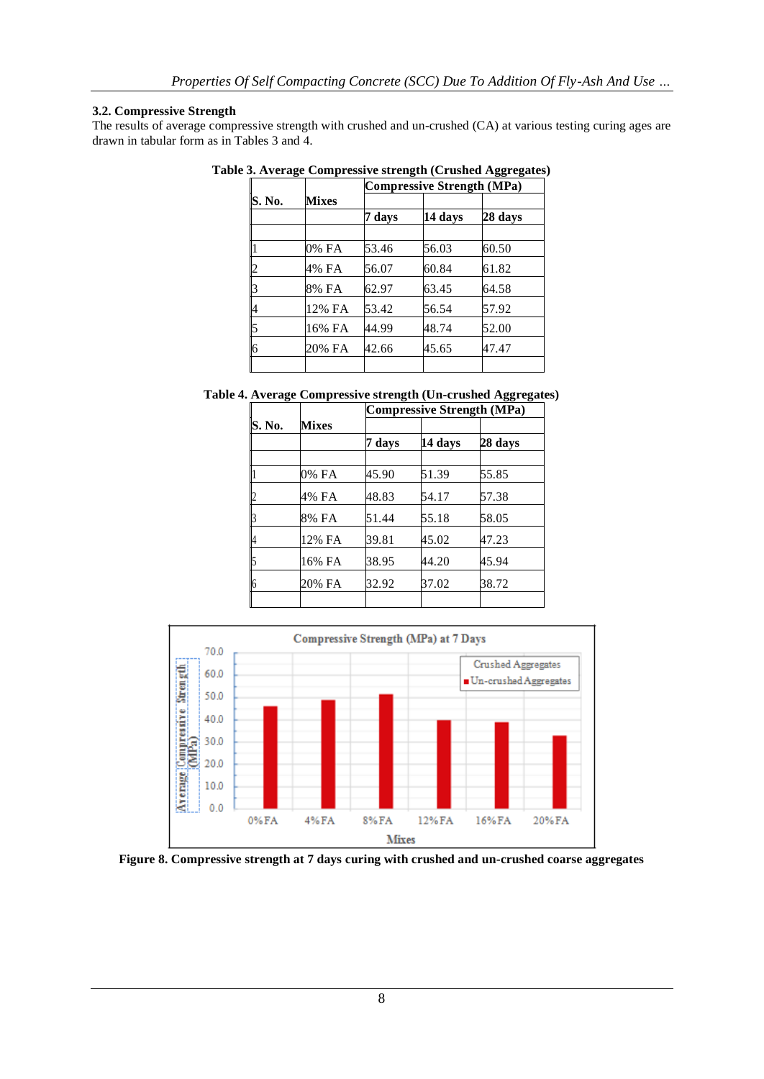#### **3.2. Compressive Strength**

The results of average compressive strength with crushed and un-crushed (CA) at various testing curing ages are drawn in tabular form as in Tables 3 and 4.

|        |              | <b>Compressive Strength (MPa)</b> |         |         |  |  |  |
|--------|--------------|-----------------------------------|---------|---------|--|--|--|
| S. No. | <b>Mixes</b> |                                   |         |         |  |  |  |
|        |              | 7 days                            | 14 days | 28 days |  |  |  |
|        | 0% FA        | 53.46                             | 56.03   | 60.50   |  |  |  |
| ∠      | 4% FA        | 56.07                             | 60.84   | 61.82   |  |  |  |
|        | 8% FA        | 62.97                             | 63.45   | 64.58   |  |  |  |
| 4      | 12% FA       | 53.42                             | 56.54   | 57.92   |  |  |  |
| 5      | 16% FA       | 44.99                             | 48.74   | 52.00   |  |  |  |
| 6      | 20% FA       | 42.66                             | 45.65   | 47.47   |  |  |  |
|        |              |                                   |         |         |  |  |  |

**Table 3. Average Compressive strength (Crushed Aggregates)**

**Table 4. Average Compressive strength (Un-crushed Aggregates)**

|        |              | <b>Compressive Strength (MPa)</b> |         |         |  |  |  |
|--------|--------------|-----------------------------------|---------|---------|--|--|--|
| S. No. | <b>Mixes</b> |                                   |         |         |  |  |  |
|        |              | 7 days                            | 14 days | 28 days |  |  |  |
|        | 0% FA        | 45.90                             | 51.39   | 55.85   |  |  |  |
|        | 4% FA        | 48.83                             | 54.17   | 57.38   |  |  |  |
|        | 8% FA        | 51.44                             | 55.18   | 58.05   |  |  |  |
| 4      | 12% FA       | 39.81                             | 45.02   | 47.23   |  |  |  |
|        | 16% FA       | 38.95                             | 44.20   | 45.94   |  |  |  |
| 6      | 20% FA       | 32.92                             | 37.02   | 38.72   |  |  |  |
|        |              |                                   |         |         |  |  |  |



**Figure 8. Compressive strength at 7 days curing with crushed and un-crushed coarse aggregates**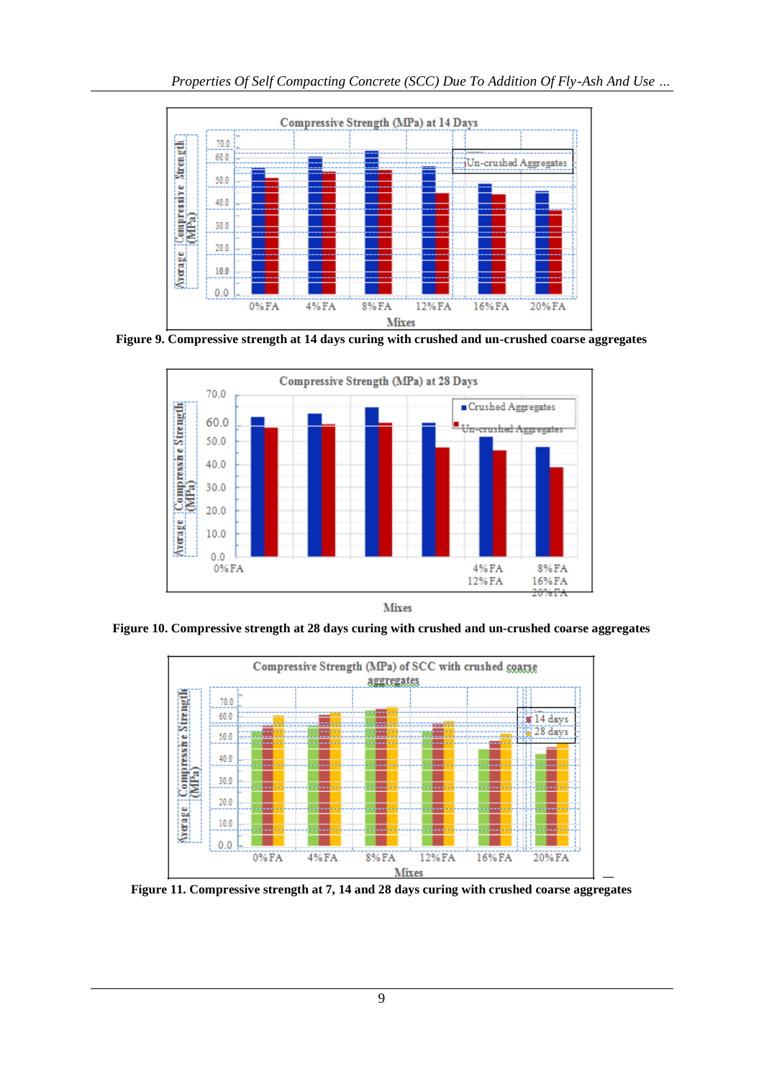

**Figure 9. Compressive strength at 14 days curing with crushed and un-crushed coarse aggregates**



**Mixes** 

**Figure 10. Compressive strength at 28 days curing with crushed and un-crushed coarse aggregates**



**Figure 11. Compressive strength at 7, 14 and 28 days curing with crushed coarse aggregates**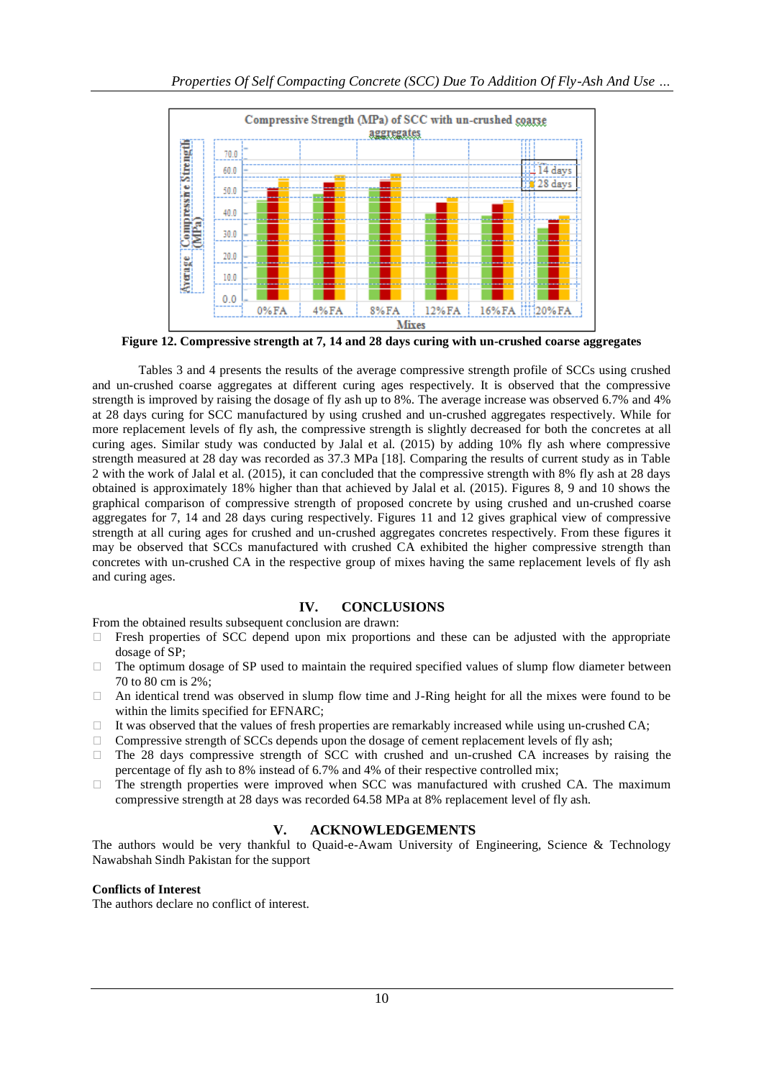

**Figure 12. Compressive strength at 7, 14 and 28 days curing with un-crushed coarse aggregates**

Tables 3 and 4 presents the results of the average compressive strength profile of SCCs using crushed and un-crushed coarse aggregates at different curing ages respectively. It is observed that the compressive strength is improved by raising the dosage of fly ash up to 8%. The average increase was observed 6.7% and 4% at 28 days curing for SCC manufactured by using crushed and un-crushed aggregates respectively. While for more replacement levels of fly ash, the compressive strength is slightly decreased for both the concretes at all curing ages. Similar study was conducted by Jalal et al. (2015) by adding 10% fly ash where compressive strength measured at 28 day was recorded as 37.3 MPa [18]. Comparing the results of current study as in Table 2 with the work of Jalal et al. (2015), it can concluded that the compressive strength with 8% fly ash at 28 days obtained is approximately 18% higher than that achieved by Jalal et al. (2015). Figures 8, 9 and 10 shows the graphical comparison of compressive strength of proposed concrete by using crushed and un-crushed coarse aggregates for 7, 14 and 28 days curing respectively. Figures 11 and 12 gives graphical view of compressive strength at all curing ages for crushed and un-crushed aggregates concretes respectively. From these figures it may be observed that SCCs manufactured with crushed CA exhibited the higher compressive strength than concretes with un-crushed CA in the respective group of mixes having the same replacement levels of fly ash and curing ages.

### **IV. CONCLUSIONS**

From the obtained results subsequent conclusion are drawn:

- $\Box$  Fresh properties of SCC depend upon mix proportions and these can be adjusted with the appropriate dosage of SP;
- $\Box$  The optimum dosage of SP used to maintain the required specified values of slump flow diameter between 70 to 80 cm is 2%;
- $\Box$  An identical trend was observed in slump flow time and J-Ring height for all the mixes were found to be within the limits specified for EFNARC;
- It was observed that the values of fresh properties are remarkably increased while using un-crushed CA;
- $\Box$  Compressive strength of SCCs depends upon the dosage of cement replacement levels of fly ash;
- $\Box$  The 28 days compressive strength of SCC with crushed and un-crushed CA increases by raising the percentage of fly ash to 8% instead of 6.7% and 4% of their respective controlled mix;
- $\Box$  The strength properties were improved when SCC was manufactured with crushed CA. The maximum compressive strength at 28 days was recorded 64.58 MPa at 8% replacement level of fly ash.

## **V. ACKNOWLEDGEMENTS**

The authors would be very thankful to Quaid-e-Awam University of Engineering, Science & Technology Nawabshah Sindh Pakistan for the support

#### **Conflicts of Interest**

The authors declare no conflict of interest.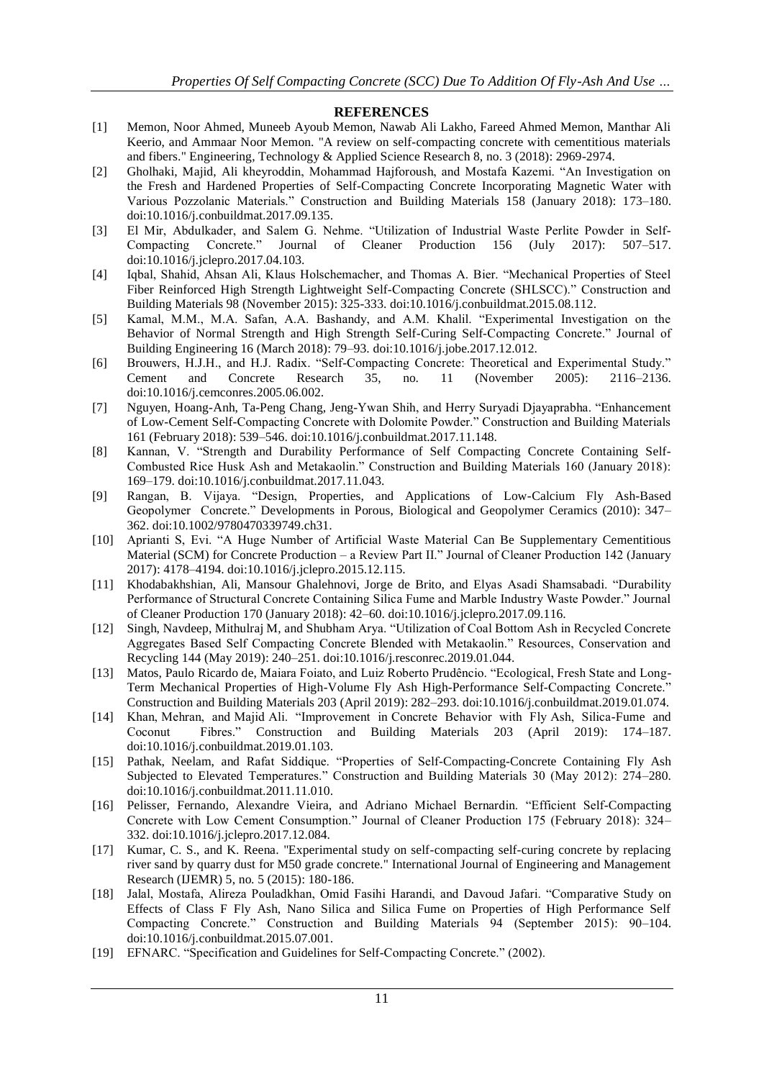#### **REFERENCES**

- [1] Memon, Noor Ahmed, Muneeb Ayoub Memon, Nawab Ali Lakho, Fareed Ahmed Memon, Manthar Ali Keerio, and Ammaar Noor Memon. "A review on self-compacting concrete with cementitious materials and fibers." Engineering, Technology & Applied Science Research 8, no. 3 (2018): 2969-2974.
- [2] Gholhaki, Majid, Ali kheyroddin, Mohammad Hajforoush, and Mostafa Kazemi. "An Investigation on the Fresh and Hardened Properties of Self-Compacting Concrete Incorporating Magnetic Water with Various Pozzolanic Materials." Construction and Building Materials 158 (January 2018): 173–180. doi:10.1016/j.conbuildmat.2017.09.135.
- [3] El Mir, Abdulkader, and Salem G. Nehme. "Utilization of Industrial Waste Perlite Powder in Self-Compacting Concrete." Journal of Cleaner Production 156 (July 2017): 507–517. doi:10.1016/j.jclepro.2017.04.103.
- [4] Iqbal, Shahid, Ahsan Ali, Klaus Holschemacher, and Thomas A. Bier. "Mechanical Properties of Steel Fiber Reinforced High Strength Lightweight Self-Compacting Concrete (SHLSCC)." Construction and Building Materials 98 (November 2015): 325-333. doi:10.1016/j.conbuildmat.2015.08.112.
- [5] Kamal, M.M., M.A. Safan, A.A. Bashandy, and A.M. Khalil. "Experimental Investigation on the Behavior of Normal Strength and High Strength Self-Curing Self-Compacting Concrete." Journal of Building Engineering 16 (March 2018): 79–93. doi:10.1016/j.jobe.2017.12.012.
- [6] Brouwers, H.J.H., and H.J. Radix. "Self-Compacting Concrete: Theoretical and Experimental Study." Cement and Concrete Research 35, no. 11 (November 2005): 2116–2136. doi:10.1016/j.cemconres.2005.06.002.
- [7] Nguyen, Hoang-Anh, Ta-Peng Chang, Jeng-Ywan Shih, and Herry Suryadi Djayaprabha. "Enhancement of Low-Cement Self-Compacting Concrete with Dolomite Powder." Construction and Building Materials 161 (February 2018): 539–546. doi:10.1016/j.conbuildmat.2017.11.148.
- [8] Kannan, V. "Strength and Durability Performance of Self Compacting Concrete Containing Self-Combusted Rice Husk Ash and Metakaolin." Construction and Building Materials 160 (January 2018): 169–179. doi:10.1016/j.conbuildmat.2017.11.043.
- [9] Rangan, B. Vijaya. "Design, Properties, and Applications of Low-Calcium Fly Ash-Based Geopolymer Concrete." Developments in Porous, Biological and Geopolymer Ceramics (2010): 347– 362. doi:10.1002/9780470339749.ch31.
- [10] Aprianti S, Evi. "A Huge Number of Artificial Waste Material Can Be Supplementary Cementitious Material (SCM) for Concrete Production – a Review Part II." Journal of Cleaner Production 142 (January 2017): 4178–4194. doi:10.1016/j.jclepro.2015.12.115.
- [11] Khodabakhshian, Ali, Mansour Ghalehnovi, Jorge de Brito, and Elyas Asadi Shamsabadi. "Durability Performance of Structural Concrete Containing Silica Fume and Marble Industry Waste Powder." Journal of Cleaner Production 170 (January 2018): 42–60. doi:10.1016/j.jclepro.2017.09.116.
- [12] Singh, Navdeep, Mithulraj M, and Shubham Arya. "Utilization of Coal Bottom Ash in Recycled Concrete Aggregates Based Self Compacting Concrete Blended with Metakaolin." Resources, Conservation and Recycling 144 (May 2019): 240–251. doi:10.1016/j.resconrec.2019.01.044.
- [13] Matos, Paulo Ricardo de, Maiara Foiato, and Luiz Roberto Prudêncio. "Ecological, Fresh State and Long-Term Mechanical Properties of High-Volume Fly Ash High-Performance Self-Compacting Concrete." Construction and Building Materials 203 (April 2019): 282–293. doi:10.1016/j.conbuildmat.2019.01.074.
- [14] Khan, Mehran, and Majid Ali. "Improvement in Concrete Behavior with Fly Ash, Silica-Fume and Coconut Fibres." Construction and Building Materials 203 (April 2019): 174–187. doi:10.1016/j.conbuildmat.2019.01.103.
- [15] Pathak, Neelam, and Rafat Siddique. "Properties of Self-Compacting-Concrete Containing Fly Ash Subjected to Elevated Temperatures." Construction and Building Materials 30 (May 2012): 274–280. doi:10.1016/j.conbuildmat.2011.11.010.
- [16] Pelisser, Fernando, Alexandre Vieira, and Adriano Michael Bernardin. "Efficient Self-Compacting Concrete with Low Cement Consumption." Journal of Cleaner Production 175 (February 2018): 324– 332. doi:10.1016/j.jclepro.2017.12.084.
- [17] Kumar, C. S., and K. Reena. "Experimental study on self-compacting self-curing concrete by replacing river sand by quarry dust for M50 grade concrete." International Journal of Engineering and Management Research (IJEMR) 5, no. 5 (2015): 180-186.
- [18] Jalal, Mostafa, Alireza Pouladkhan, Omid Fasihi Harandi, and Davoud Jafari. "Comparative Study on Effects of Class F Fly Ash, Nano Silica and Silica Fume on Properties of High Performance Self Compacting Concrete." Construction and Building Materials 94 (September 2015): 90–104. doi:10.1016/j.conbuildmat.2015.07.001.
- [19] EFNARC. "Specification and Guidelines for Self-Compacting Concrete." (2002).